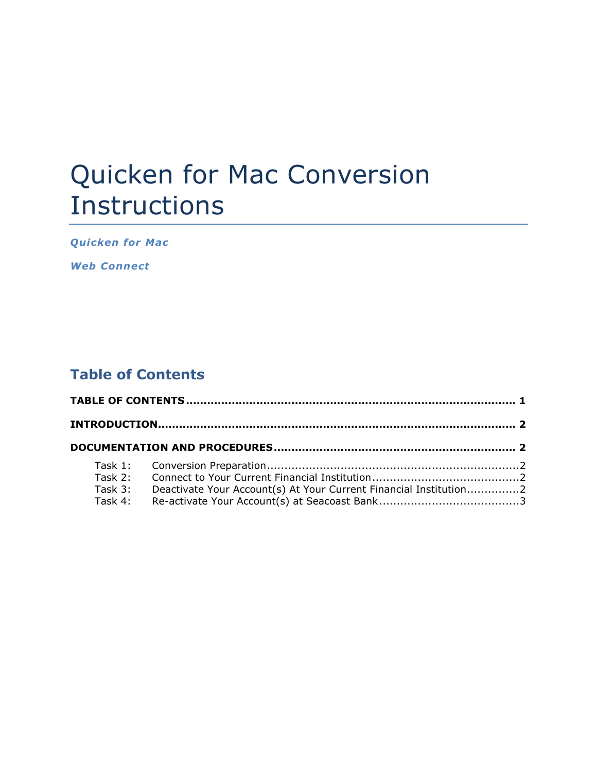# Quicken for Mac Conversion Instructions

*Quicken for Mac* 

*Web Connect*

## **Table of Contents**

| Task 3: | Deactivate Your Account(s) At Your Current Financial Institution2 |  |
|---------|-------------------------------------------------------------------|--|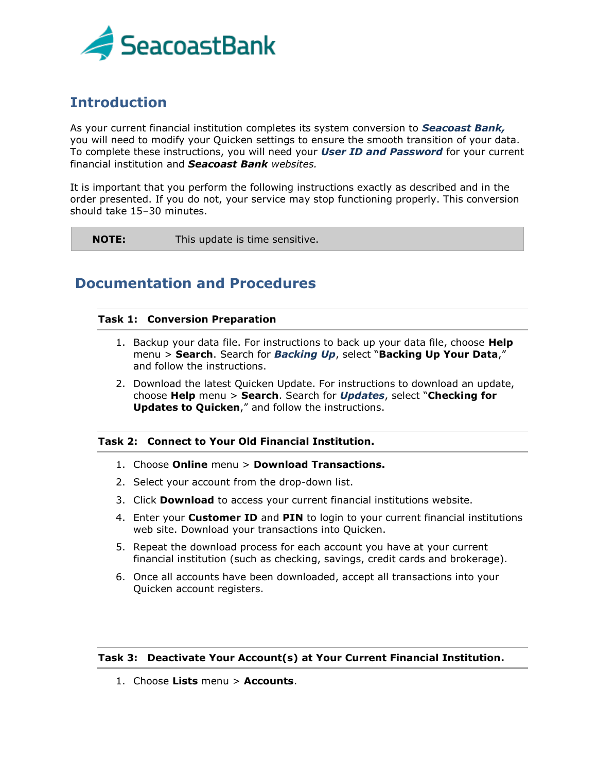

## **Introduction**

As your current financial institution completes its system conversion to *Seacoast Bank,* you will need to modify your Quicken settings to ensure the smooth transition of your data. To complete these instructions, you will need your *User ID and Password* for your current financial institution and *Seacoast Bank websites.*

It is important that you perform the following instructions exactly as described and in the order presented. If you do not, your service may stop functioning properly. This conversion should take 15–30 minutes.

**NOTE:** This update is time sensitive.

### **Documentation and Procedures**

#### **Task 1: Conversion Preparation**

- 1. Backup your data file. For instructions to back up your data file, choose **Help** menu > **Search**. Search for *Backing Up*, select "**Backing Up Your Data**," and follow the instructions.
- 2. Download the latest Quicken Update. For instructions to download an update, choose **Help** menu > **Search**. Search for *Updates*, select "**Checking for Updates to Quicken**," and follow the instructions.

#### **Task 2: Connect to Your Old Financial Institution.**

- 1. Choose **Online** menu > **Download Transactions.**
- 2. Select your account from the drop-down list.
- 3. Click **Download** to access your current financial institutions website.
- 4. Enter your **Customer ID** and **PIN** to login to your current financial institutions web site. Download your transactions into Quicken.
- 5. Repeat the download process for each account you have at your current financial institution (such as checking, savings, credit cards and brokerage).
- 6. Once all accounts have been downloaded, accept all transactions into your Quicken account registers.

#### **Task 3: Deactivate Your Account(s) at Your Current Financial Institution.**

1. Choose **Lists** menu > **Accounts**.